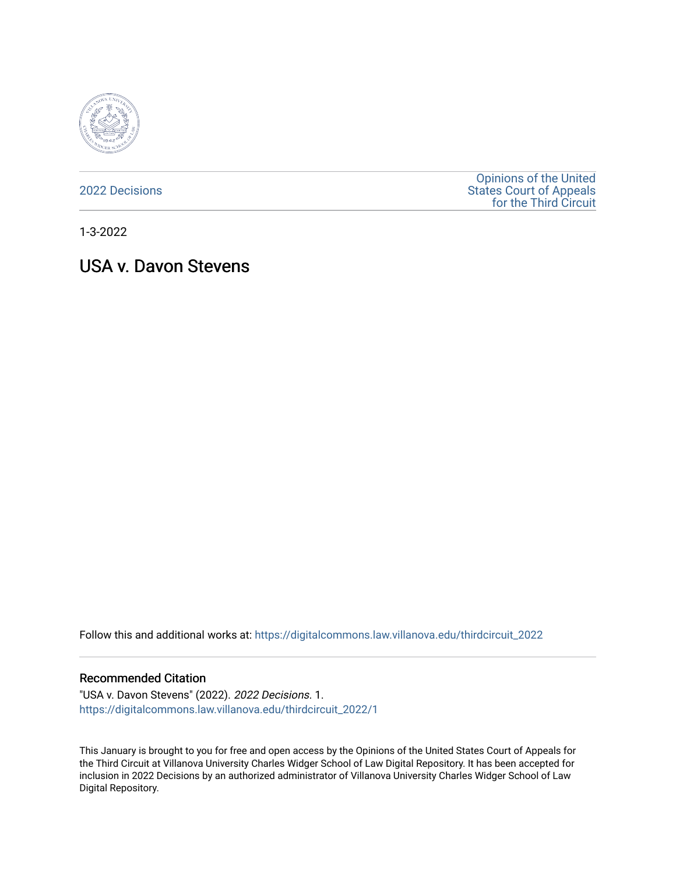

[2022 Decisions](https://digitalcommons.law.villanova.edu/thirdcircuit_2022)

[Opinions of the United](https://digitalcommons.law.villanova.edu/thirdcircuit)  [States Court of Appeals](https://digitalcommons.law.villanova.edu/thirdcircuit)  [for the Third Circuit](https://digitalcommons.law.villanova.edu/thirdcircuit) 

1-3-2022

# USA v. Davon Stevens

Follow this and additional works at: [https://digitalcommons.law.villanova.edu/thirdcircuit\\_2022](https://digitalcommons.law.villanova.edu/thirdcircuit_2022?utm_source=digitalcommons.law.villanova.edu%2Fthirdcircuit_2022%2F1&utm_medium=PDF&utm_campaign=PDFCoverPages) 

#### Recommended Citation

"USA v. Davon Stevens" (2022). 2022 Decisions. 1. [https://digitalcommons.law.villanova.edu/thirdcircuit\\_2022/1](https://digitalcommons.law.villanova.edu/thirdcircuit_2022/1?utm_source=digitalcommons.law.villanova.edu%2Fthirdcircuit_2022%2F1&utm_medium=PDF&utm_campaign=PDFCoverPages) 

This January is brought to you for free and open access by the Opinions of the United States Court of Appeals for the Third Circuit at Villanova University Charles Widger School of Law Digital Repository. It has been accepted for inclusion in 2022 Decisions by an authorized administrator of Villanova University Charles Widger School of Law Digital Repository.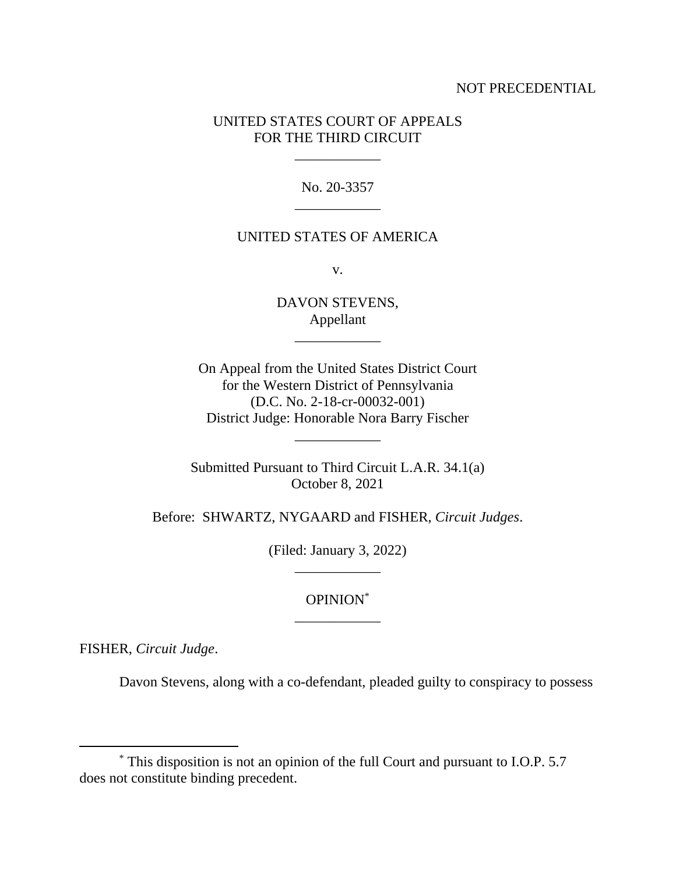### NOT PRECEDENTIAL

### UNITED STATES COURT OF APPEALS FOR THE THIRD CIRCUIT

\_\_\_\_\_\_\_\_\_\_\_\_

No. 20-3357 \_\_\_\_\_\_\_\_\_\_\_\_

#### UNITED STATES OF AMERICA

v.

DAVON STEVENS, Appellant

\_\_\_\_\_\_\_\_\_\_\_\_

On Appeal from the United States District Court for the Western District of Pennsylvania (D.C. No. 2-18-cr-00032-001) District Judge: Honorable Nora Barry Fischer

Submitted Pursuant to Third Circuit L.A.R. 34.1(a) October 8, 2021

\_\_\_\_\_\_\_\_\_\_\_\_

Before: SHWARTZ, NYGAARD and FISHER, *Circuit Judges*.

(Filed: January 3, 2022) \_\_\_\_\_\_\_\_\_\_\_\_

## OPINION\* \_\_\_\_\_\_\_\_\_\_\_\_

FISHER, *Circuit Judge*.

Davon Stevens, along with a co-defendant, pleaded guilty to conspiracy to possess

<sup>\*</sup> This disposition is not an opinion of the full Court and pursuant to I.O.P. 5.7 does not constitute binding precedent.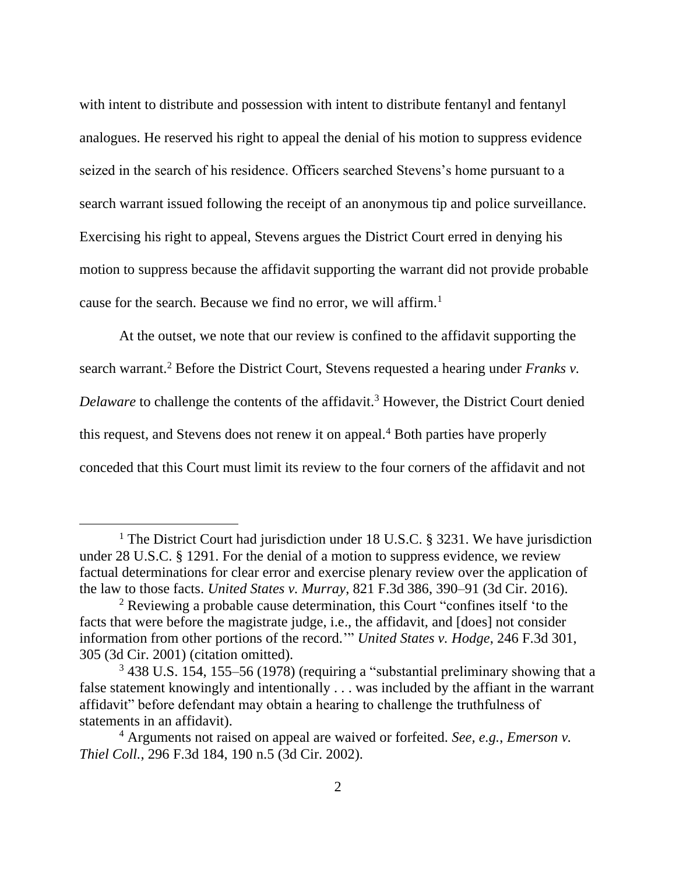with intent to distribute and possession with intent to distribute fentanyl and fentanyl analogues. He reserved his right to appeal the denial of his motion to suppress evidence seized in the search of his residence. Officers searched Stevens's home pursuant to a search warrant issued following the receipt of an anonymous tip and police surveillance. Exercising his right to appeal, Stevens argues the District Court erred in denying his motion to suppress because the affidavit supporting the warrant did not provide probable cause for the search. Because we find no error, we will affirm.<sup>1</sup>

At the outset, we note that our review is confined to the affidavit supporting the search warrant.<sup>2</sup> Before the District Court, Stevens requested a hearing under *Franks v*. *Delaware* to challenge the contents of the affidavit.<sup>3</sup> However, the District Court denied this request, and Stevens does not renew it on appeal.<sup>4</sup> Both parties have properly conceded that this Court must limit its review to the four corners of the affidavit and not

<sup>&</sup>lt;sup>1</sup> The District Court had jurisdiction under 18 U.S.C. § 3231. We have jurisdiction under 28 U.S.C. § 1291. For the denial of a motion to suppress evidence, we review factual determinations for clear error and exercise plenary review over the application of the law to those facts. *United States v. Murray*, 821 F.3d 386, 390–91 (3d Cir. 2016).

<sup>2</sup> Reviewing a probable cause determination, this Court "confines itself 'to the facts that were before the magistrate judge, i.e., the affidavit, and [does] not consider information from other portions of the record.'" *United States v. Hodge*, 246 F.3d 301, 305 (3d Cir. 2001) (citation omitted).

<sup>3</sup> 438 U.S. 154, 155–56 (1978) (requiring a "substantial preliminary showing that a false statement knowingly and intentionally . . . was included by the affiant in the warrant affidavit" before defendant may obtain a hearing to challenge the truthfulness of statements in an affidavit).

<sup>4</sup> Arguments not raised on appeal are waived or forfeited. *See, e.g.*, *Emerson v. Thiel Coll.*, 296 F.3d 184, 190 n.5 (3d Cir. 2002).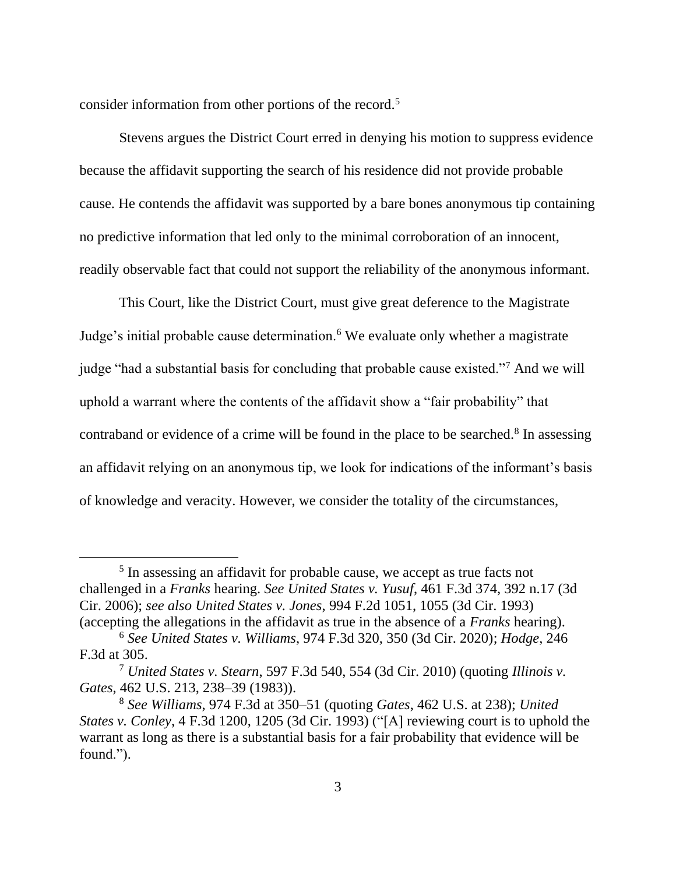consider information from other portions of the record.<sup>5</sup>

Stevens argues the District Court erred in denying his motion to suppress evidence because the affidavit supporting the search of his residence did not provide probable cause. He contends the affidavit was supported by a bare bones anonymous tip containing no predictive information that led only to the minimal corroboration of an innocent, readily observable fact that could not support the reliability of the anonymous informant.

This Court, like the District Court, must give great deference to the Magistrate Judge's initial probable cause determination.<sup>6</sup> We evaluate only whether a magistrate judge "had a substantial basis for concluding that probable cause existed."<sup>7</sup> And we will uphold a warrant where the contents of the affidavit show a "fair probability" that contraband or evidence of a crime will be found in the place to be searched.<sup>8</sup> In assessing an affidavit relying on an anonymous tip, we look for indications of the informant's basis of knowledge and veracity. However, we consider the totality of the circumstances,

<sup>&</sup>lt;sup>5</sup> In assessing an affidavit for probable cause, we accept as true facts not challenged in a *Franks* hearing. *See United States v. Yusuf*, 461 F.3d 374, 392 n.17 (3d Cir. 2006); *see also United States v. Jones*, 994 F.2d 1051, 1055 (3d Cir. 1993) (accepting the allegations in the affidavit as true in the absence of a *Franks* hearing).

<sup>6</sup> *See United States v. Williams*, 974 F.3d 320, 350 (3d Cir. 2020); *Hodge*, 246 F.3d at 305.

<sup>7</sup> *United States v. Stearn*, 597 F.3d 540, 554 (3d Cir. 2010) (quoting *Illinois v. Gates*, 462 U.S. 213, 238–39 (1983)).

<sup>8</sup> *See Williams*, 974 F.3d at 350–51 (quoting *Gates*, 462 U.S. at 238); *United States v. Conley*, 4 F.3d 1200, 1205 (3d Cir. 1993) ("[A] reviewing court is to uphold the warrant as long as there is a substantial basis for a fair probability that evidence will be found.").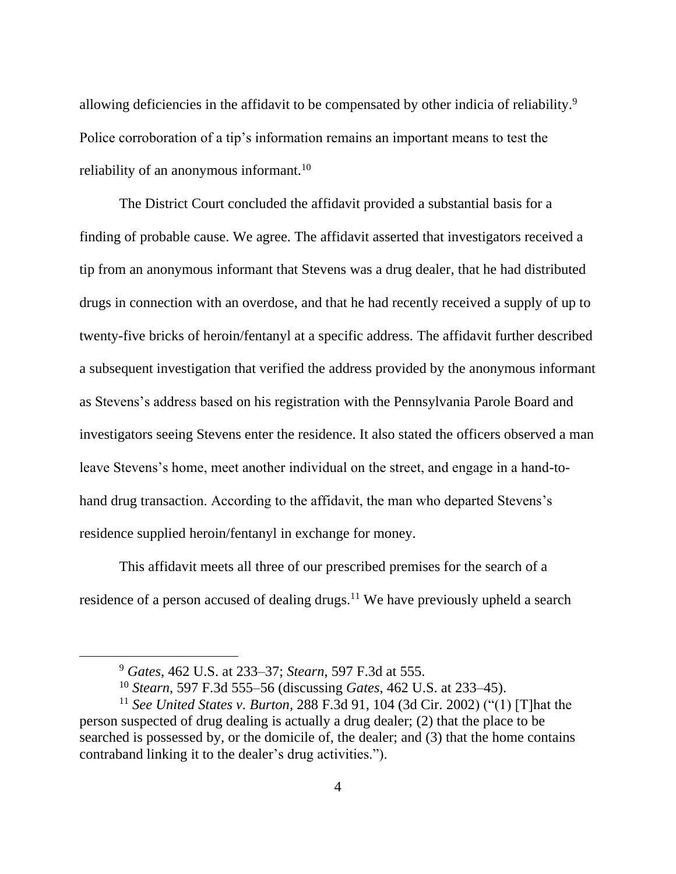allowing deficiencies in the affidavit to be compensated by other indicia of reliability.<sup>9</sup> Police corroboration of a tip's information remains an important means to test the reliability of an anonymous informant.<sup>10</sup>

The District Court concluded the affidavit provided a substantial basis for a finding of probable cause. We agree. The affidavit asserted that investigators received a tip from an anonymous informant that Stevens was a drug dealer, that he had distributed drugs in connection with an overdose, and that he had recently received a supply of up to twenty-five bricks of heroin/fentanyl at a specific address. The affidavit further described a subsequent investigation that verified the address provided by the anonymous informant as Stevens's address based on his registration with the Pennsylvania Parole Board and investigators seeing Stevens enter the residence. It also stated the officers observed a man leave Stevens's home, meet another individual on the street, and engage in a hand-tohand drug transaction. According to the affidavit, the man who departed Stevens's residence supplied heroin/fentanyl in exchange for money.

This affidavit meets all three of our prescribed premises for the search of a residence of a person accused of dealing drugs.<sup>11</sup> We have previously upheld a search

<sup>9</sup> *Gates*, 462 U.S. at 233–37; *Stearn*, 597 F.3d at 555.

<sup>10</sup> *Stearn*, 597 F.3d 555–56 (discussing *Gates*, 462 U.S. at 233–45).

<sup>11</sup> *See United States v. Burton*, 288 F.3d 91, 104 (3d Cir. 2002) ("(1) [T]hat the person suspected of drug dealing is actually a drug dealer; (2) that the place to be searched is possessed by, or the domicile of, the dealer; and (3) that the home contains contraband linking it to the dealer's drug activities.").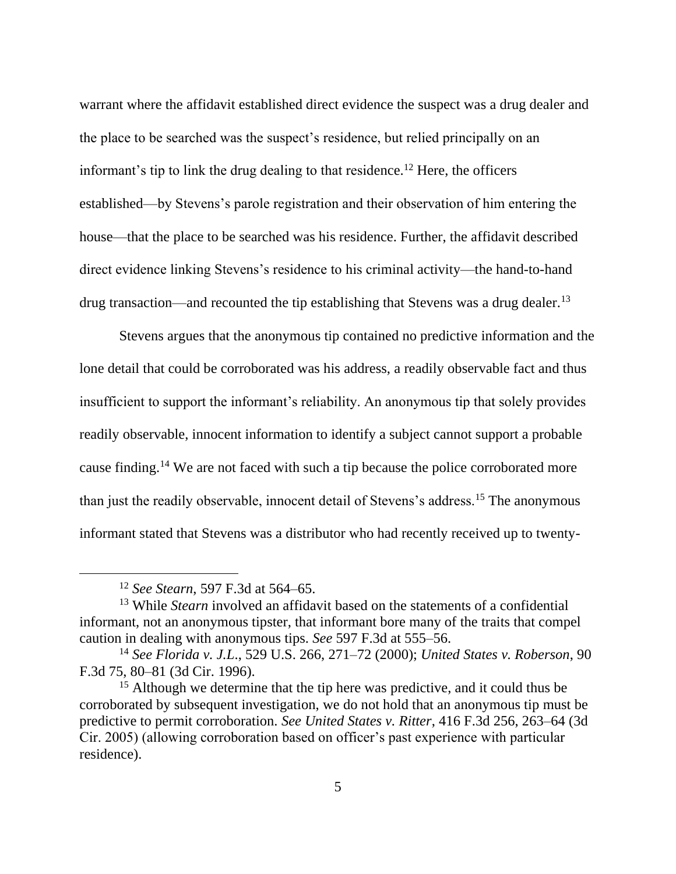warrant where the affidavit established direct evidence the suspect was a drug dealer and the place to be searched was the suspect's residence, but relied principally on an informant's tip to link the drug dealing to that residence.<sup>12</sup> Here, the officers established—by Stevens's parole registration and their observation of him entering the house—that the place to be searched was his residence. Further, the affidavit described direct evidence linking Stevens's residence to his criminal activity—the hand-to-hand drug transaction—and recounted the tip establishing that Stevens was a drug dealer.<sup>13</sup>

Stevens argues that the anonymous tip contained no predictive information and the lone detail that could be corroborated was his address, a readily observable fact and thus insufficient to support the informant's reliability. An anonymous tip that solely provides readily observable, innocent information to identify a subject cannot support a probable cause finding.<sup>14</sup> We are not faced with such a tip because the police corroborated more than just the readily observable, innocent detail of Stevens's address.<sup>15</sup> The anonymous informant stated that Stevens was a distributor who had recently received up to twenty-

<sup>12</sup> *See Stearn*, 597 F.3d at 564–65.

<sup>13</sup> While *Stearn* involved an affidavit based on the statements of a confidential informant, not an anonymous tipster, that informant bore many of the traits that compel caution in dealing with anonymous tips. *See* 597 F.3d at 555–56.

<sup>14</sup> *See Florida v. J.L*., 529 U.S. 266, 271–72 (2000); *United States v. Roberson*, 90 F.3d 75, 80–81 (3d Cir. 1996).

<sup>&</sup>lt;sup>15</sup> Although we determine that the tip here was predictive, and it could thus be corroborated by subsequent investigation, we do not hold that an anonymous tip must be predictive to permit corroboration. *See United States v. Ritter*, 416 F.3d 256, 263–64 (3d Cir. 2005) (allowing corroboration based on officer's past experience with particular residence).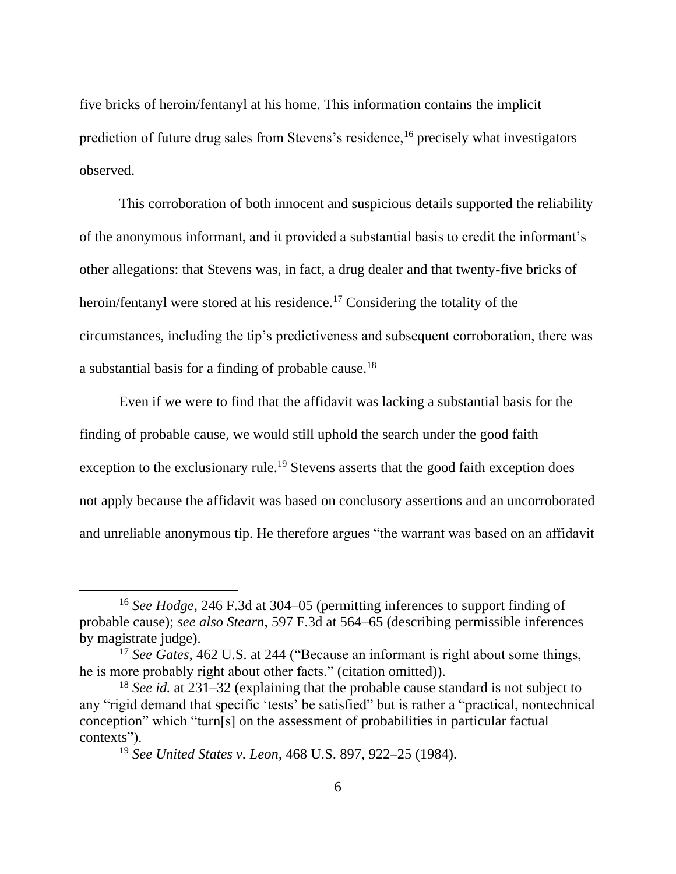five bricks of heroin/fentanyl at his home. This information contains the implicit prediction of future drug sales from Stevens's residence,<sup>16</sup> precisely what investigators observed.

This corroboration of both innocent and suspicious details supported the reliability of the anonymous informant, and it provided a substantial basis to credit the informant's other allegations: that Stevens was, in fact, a drug dealer and that twenty-five bricks of heroin/fentanyl were stored at his residence.<sup>17</sup> Considering the totality of the circumstances, including the tip's predictiveness and subsequent corroboration, there was a substantial basis for a finding of probable cause.<sup>18</sup>

Even if we were to find that the affidavit was lacking a substantial basis for the finding of probable cause, we would still uphold the search under the good faith exception to the exclusionary rule.<sup>19</sup> Stevens asserts that the good faith exception does not apply because the affidavit was based on conclusory assertions and an uncorroborated and unreliable anonymous tip. He therefore argues "the warrant was based on an affidavit

<sup>16</sup> *See Hodge*, 246 F.3d at 304–05 (permitting inferences to support finding of probable cause); *see also Stearn*, 597 F.3d at 564–65 (describing permissible inferences by magistrate judge).

<sup>&</sup>lt;sup>17</sup> *See Gates*, 462 U.S. at 244 ("Because an informant is right about some things, he is more probably right about other facts." (citation omitted)).

<sup>18</sup> *See id.* at 231–32 (explaining that the probable cause standard is not subject to any "rigid demand that specific 'tests' be satisfied" but is rather a "practical, nontechnical conception" which "turn[s] on the assessment of probabilities in particular factual contexts").

<sup>19</sup> *See United States v. Leon*, 468 U.S. 897, 922–25 (1984).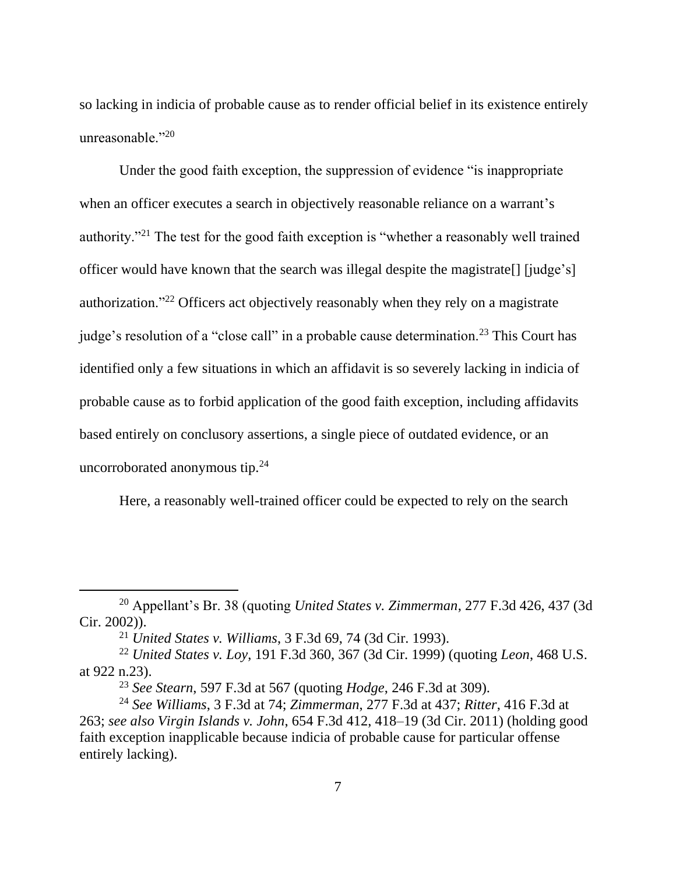so lacking in indicia of probable cause as to render official belief in its existence entirely unreasonable."<sup>20</sup>

Under the good faith exception, the suppression of evidence "is inappropriate when an officer executes a search in objectively reasonable reliance on a warrant's authority."<sup>21</sup> The test for the good faith exception is "whether a reasonably well trained officer would have known that the search was illegal despite the magistrate[] [judge's] authorization."<sup>22</sup> Officers act objectively reasonably when they rely on a magistrate judge's resolution of a "close call" in a probable cause determination.<sup>23</sup> This Court has identified only a few situations in which an affidavit is so severely lacking in indicia of probable cause as to forbid application of the good faith exception, including affidavits based entirely on conclusory assertions, a single piece of outdated evidence, or an uncorroborated anonymous tip.<sup>24</sup>

Here, a reasonably well-trained officer could be expected to rely on the search

<sup>20</sup> Appellant's Br. 38 (quoting *United States v. Zimmerman*, 277 F.3d 426, 437 (3d Cir. 2002)).

<sup>21</sup> *United States v. Williams*, 3 F.3d 69, 74 (3d Cir. 1993).

<sup>22</sup> *United States v. Loy*, 191 F.3d 360, 367 (3d Cir. 1999) (quoting *Leon*, 468 U.S. at 922 n.23).

<sup>23</sup> *See Stearn*, 597 F.3d at 567 (quoting *Hodge*, 246 F.3d at 309).

<sup>24</sup> *See Williams*, 3 F.3d at 74; *Zimmerman*, 277 F.3d at 437; *Ritter*, 416 F.3d at 263; *see also Virgin Islands v. John*, 654 F.3d 412, 418–19 (3d Cir. 2011) (holding good faith exception inapplicable because indicia of probable cause for particular offense entirely lacking).